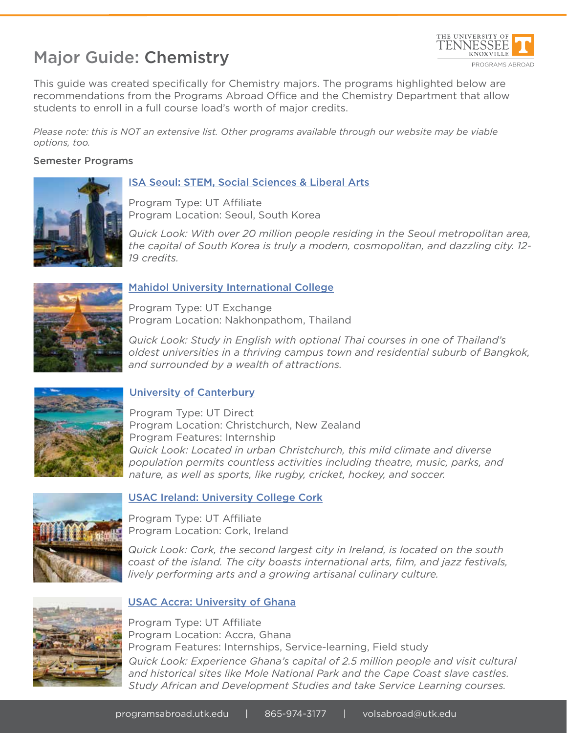# Major Guide: Chemistry



This guide was created specifically for Chemistry majors. The programs highlighted below are recommendations from the Programs Abroad Office and the Chemistry Department that allow students to enroll in a full course load's worth of major credits.

*Please note: this is NOT an extensive list. Other programs available through our website may be viable options, too.*

### Semester Programs



### ISA Seoul: STEM, Social Sciences & Liberal Arts

Program Type: UT Affiliate Program Location: Seoul, South Korea

*Quick Look: With over 20 million people residing in the Seoul metropolitan area, the capital of South Korea is truly a modern, cosmopolitan, and dazzling city. 12- 19 credits.*



# Mahidol University International College

Program Type: UT Exchange Program Location: Nakhonpathom, Thailand

*Quick Look: Study in English with optional Thai courses in one of Thailand's oldest universities in a thriving campus town and residential suburb of Bangkok, and surrounded by a wealth of attractions.* 



# University of Canterbury

Program Type: UT Direct Program Location: Christchurch, New Zealand Program Features: Internship *Quick Look: Located in urban Christchurch, this mild climate and diverse population permits countless activities including theatre, music, parks, and nature, as well as sports, like rugby, cricket, hockey, and soccer.* 



### USAC Ireland: University College Cork

Program Type: UT Affiliate Program Location: Cork, Ireland

*Quick Look: Cork, the second largest city in Ireland, is located on the south coast of the island. The city boasts international arts, film, and jazz festivals, lively performing arts and a growing artisanal culinary culture.*



# USAC Accra: University of Ghana

Program Type: UT Affiliate Program Location: Accra, Ghana Program Features: Internships, Service-learning, Field study *Quick Look: Experience Ghana's capital of 2.5 million people and visit cultural and historical sites like Mole National Park and the Cape Coast slave castles. Study African and Development Studies and take Service Learning courses.*